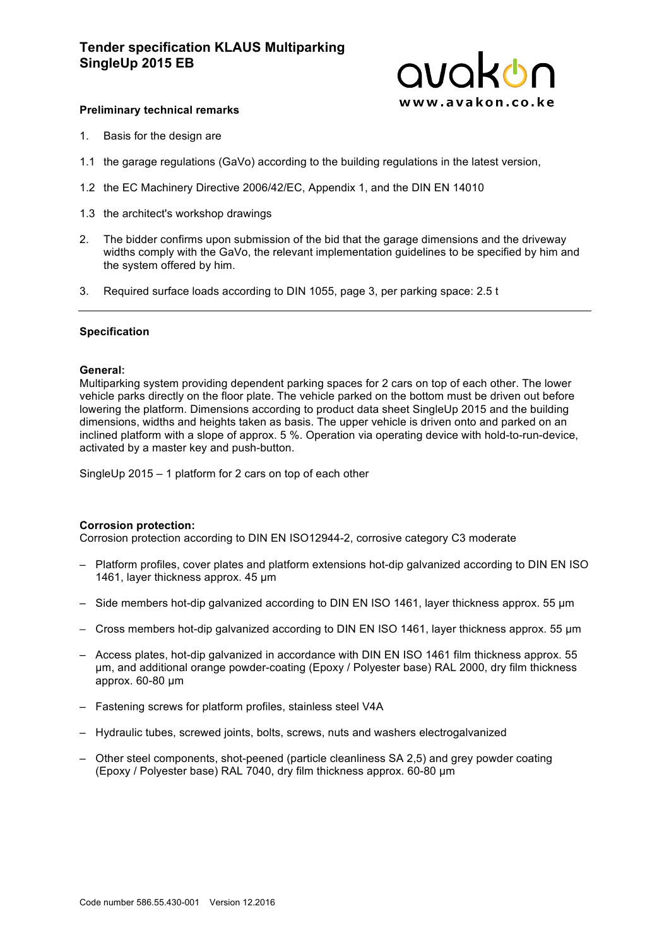

## **Preliminary technical remarks**

- 1. Basis for the design are
- 1.1 the garage regulations (GaVo) according to the building regulations in the latest version,
- 1.2 the EC Machinery Directive 2006/42/EC, Appendix 1, and the DIN EN 14010
- 1.3 the architect's workshop drawings
- 2. The bidder confirms upon submission of the bid that the garage dimensions and the driveway widths comply with the GaVo, the relevant implementation guidelines to be specified by him and the system offered by him.
- 3. Required surface loads according to DIN 1055, page 3, per parking space: 2.5 t

#### **Specification**

#### **General:**

Multiparking system providing dependent parking spaces for 2 cars on top of each other. The lower vehicle parks directly on the floor plate. The vehicle parked on the bottom must be driven out before lowering the platform. Dimensions according to product data sheet SingleUp 2015 and the building dimensions, widths and heights taken as basis. The upper vehicle is driven onto and parked on an inclined platform with a slope of approx. 5 %. Operation via operating device with hold-to-run-device, activated by a master key and push-button.

SingleUp 2015 – 1 platform for 2 cars on top of each other

#### **Corrosion protection:**

Corrosion protection according to DIN EN ISO12944-2, corrosive category C3 moderate

- Platform profiles, cover plates and platform extensions hot-dip galvanized according to DIN EN ISO 1461, layer thickness approx. 45 um
- Side members hot-dip galvanized according to DIN EN ISO 1461, layer thickness approx. 55 µm
- Cross members hot-dip galvanized according to DIN EN ISO 1461, layer thickness approx. 55 µm
- Access plates, hot-dip galvanized in accordance with DIN EN ISO 1461 film thickness approx. 55 µm, and additional orange powder-coating (Epoxy / Polyester base) RAL 2000, dry film thickness approx. 60-80 µm
- Fastening screws for platform profiles, stainless steel V4A
- Hydraulic tubes, screwed joints, bolts, screws, nuts and washers electrogalvanized
- Other steel components, shot-peened (particle cleanliness SA 2,5) and grey powder coating (Epoxy / Polyester base) RAL 7040, dry film thickness approx. 60-80 µm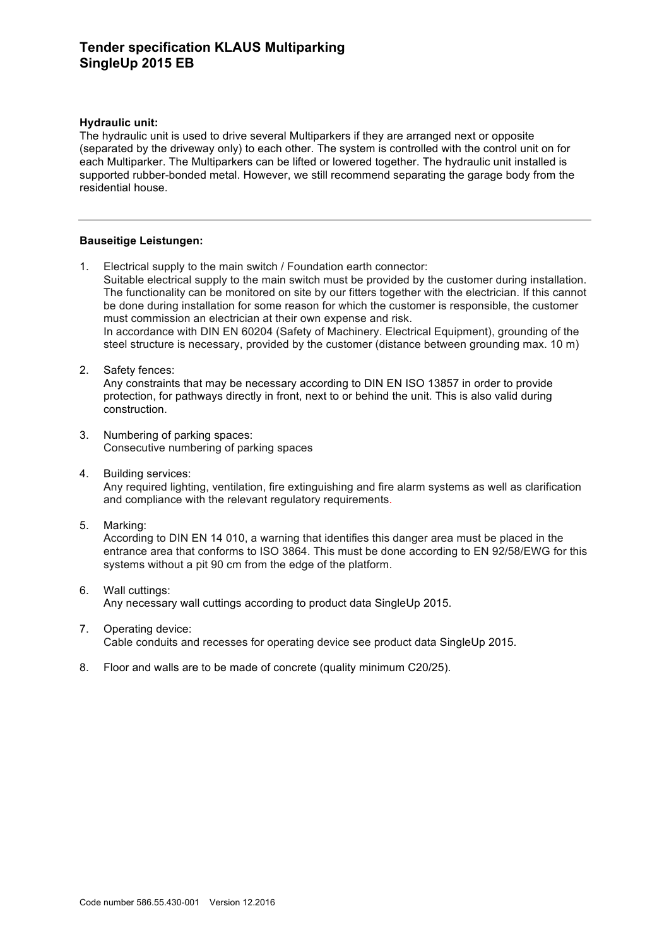# **Tender specification KLAUS Multiparking SingleUp 2015 EB**

## **Hydraulic unit:**

The hydraulic unit is used to drive several Multiparkers if they are arranged next or opposite (separated by the driveway only) to each other. The system is controlled with the control unit on for each Multiparker. The Multiparkers can be lifted or lowered together. The hydraulic unit installed is supported rubber-bonded metal. However, we still recommend separating the garage body from the residential house.

## **Bauseitige Leistungen:**

- 1. Electrical supply to the main switch / Foundation earth connector: Suitable electrical supply to the main switch must be provided by the customer during installation. The functionality can be monitored on site by our fitters together with the electrician. If this cannot be done during installation for some reason for which the customer is responsible, the customer must commission an electrician at their own expense and risk. In accordance with DIN EN 60204 (Safety of Machinery. Electrical Equipment), grounding of the steel structure is necessary, provided by the customer (distance between grounding max. 10 m)
- 2. Safety fences:

Any constraints that may be necessary according to DIN EN ISO 13857 in order to provide protection, for pathways directly in front, next to or behind the unit. This is also valid during construction.

- 3. Numbering of parking spaces: Consecutive numbering of parking spaces
- 4. Building services: Any required lighting, ventilation, fire extinguishing and fire alarm systems as well as clarification and compliance with the relevant regulatory requirements.
- 5. Marking:

According to DIN EN 14 010, a warning that identifies this danger area must be placed in the entrance area that conforms to ISO 3864. This must be done according to EN 92/58/EWG for this systems without a pit 90 cm from the edge of the platform.

- 6. Wall cuttings: Any necessary wall cuttings according to product data SingleUp 2015.
- 7. Operating device: Cable conduits and recesses for operating device see product data SingleUp 2015.
- 8. Floor and walls are to be made of concrete (quality minimum C20/25).